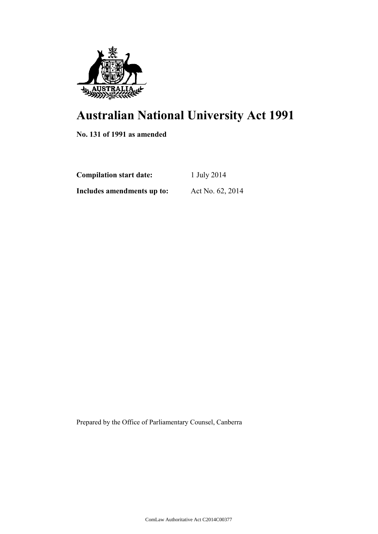

# **Australian National University Act 1991**

**No. 131 of 1991 as amended**

| <b>Compilation start date:</b> | 1 July 2014      |  |
|--------------------------------|------------------|--|
| Includes amendments up to:     | Act No. 62, 2014 |  |

Prepared by the Office of Parliamentary Counsel, Canberra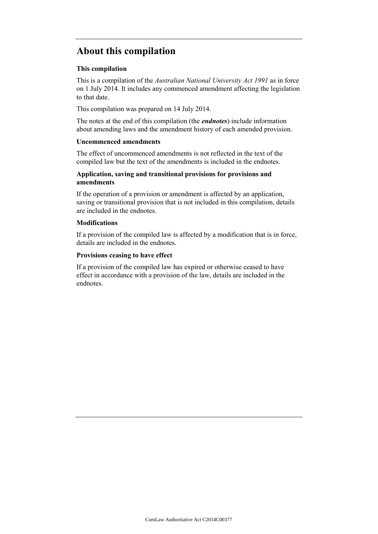## **About this compilation**

## **This compilation**

This is a compilation of the *Australian National University Act 1991* as in force on 1 July 2014. It includes any commenced amendment affecting the legislation to that date.

This compilation was prepared on 14 July 2014.

The notes at the end of this compilation (the *endnotes*) include information about amending laws and the amendment history of each amended provision.

## **Uncommenced amendments**

The effect of uncommenced amendments is not reflected in the text of the compiled law but the text of the amendments is included in the endnotes.

## **Application, saving and transitional provisions for provisions and amendments**

If the operation of a provision or amendment is affected by an application, saving or transitional provision that is not included in this compilation, details are included in the endnotes.

## **Modifications**

If a provision of the compiled law is affected by a modification that is in force, details are included in the endnotes.

## **Provisions ceasing to have effect**

If a provision of the compiled law has expired or otherwise ceased to have effect in accordance with a provision of the law, details are included in the endnotes.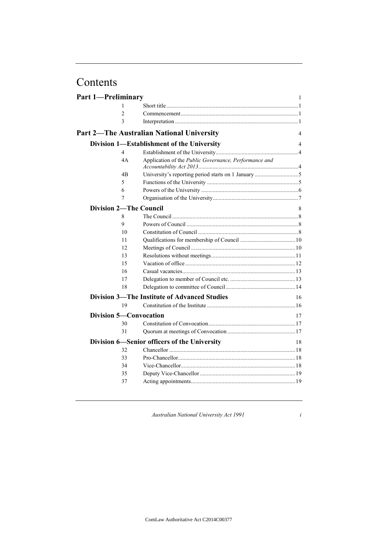## Contents

| <b>Part 1-Preliminary</b> |                |                                                       | 1  |
|---------------------------|----------------|-------------------------------------------------------|----|
|                           | 1              |                                                       |    |
|                           | $\overline{c}$ |                                                       |    |
|                           | 3              |                                                       |    |
|                           |                | <b>Part 2-The Australian National University</b>      | 4  |
|                           |                | Division 1—Establishment of the University            | 4  |
|                           | $\overline{4}$ |                                                       |    |
|                           | 4A             | Application of the Public Governance, Performance and |    |
|                           | 4B             |                                                       |    |
|                           | 5              |                                                       |    |
|                           | 6              |                                                       |    |
|                           | 7              |                                                       |    |
|                           |                | <b>Division 2-The Council</b>                         | 8  |
|                           | 8              |                                                       |    |
|                           | 9              |                                                       |    |
|                           | 10             |                                                       |    |
|                           | 11             |                                                       |    |
|                           | 12             |                                                       |    |
|                           | 13             |                                                       |    |
|                           | 15             |                                                       |    |
|                           | 16             |                                                       |    |
|                           | 17             |                                                       |    |
|                           | 18             |                                                       |    |
|                           |                | <b>Division 3—The Institute of Advanced Studies</b>   | 16 |
|                           | 19             |                                                       |    |
|                           |                | <b>Division 5-Convocation</b>                         | 17 |
|                           | 30             |                                                       |    |
|                           | 31             |                                                       |    |
|                           |                | Division 6—Senior officers of the University          | 18 |
|                           | 32             |                                                       |    |
|                           | 33             |                                                       |    |
|                           | 34             |                                                       |    |
|                           | 35             |                                                       |    |
|                           | 37             |                                                       |    |
|                           |                |                                                       |    |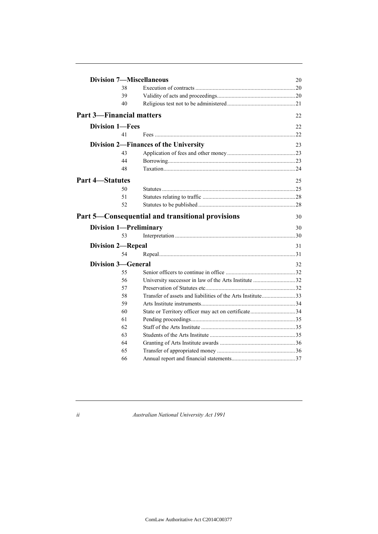|                                 |    | <b>Division 7-Miscellaneous</b>                      | 20 |
|---------------------------------|----|------------------------------------------------------|----|
|                                 | 38 |                                                      |    |
|                                 | 39 |                                                      |    |
|                                 | 40 |                                                      |    |
| <b>Part 3—Financial matters</b> |    |                                                      | 22 |
| <b>Division 1-Fees</b>          |    |                                                      | 22 |
|                                 | 41 |                                                      | 22 |
|                                 |    | Division 2—Finances of the University                | 23 |
|                                 | 43 |                                                      |    |
|                                 | 44 |                                                      |    |
|                                 | 48 |                                                      |    |
| <b>Part 4–Statutes</b>          |    |                                                      | 25 |
|                                 | 50 |                                                      |    |
|                                 | 51 |                                                      |    |
|                                 | 52 |                                                      |    |
|                                 |    | Part 5—Consequential and transitional provisions     | 30 |
|                                 |    |                                                      |    |
|                                 |    | <b>Division 1-Preliminary</b>                        | 30 |
|                                 | 53 |                                                      |    |
| <b>Division 2-Repeal</b>        |    |                                                      | 31 |
|                                 | 54 |                                                      |    |
| <b>Division 3-General</b>       |    |                                                      | 32 |
|                                 | 55 |                                                      |    |
|                                 | 56 | University successor in law of the Arts Institute 32 |    |
|                                 | 57 |                                                      |    |
|                                 | 58 |                                                      |    |
|                                 | 59 |                                                      |    |
|                                 | 60 | State or Territory officer may act on certificate34  |    |
|                                 | 61 |                                                      |    |
|                                 | 62 |                                                      |    |
|                                 | 63 |                                                      |    |
|                                 | 64 |                                                      |    |
|                                 | 65 |                                                      |    |
|                                 | 66 |                                                      |    |
|                                 |    |                                                      |    |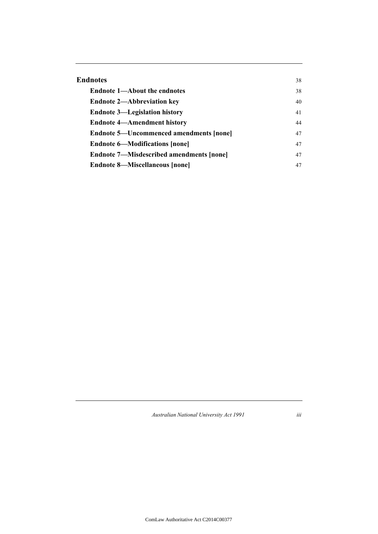| Endnotes                                        | 38 |
|-------------------------------------------------|----|
| <b>Endnote 1—About the endnotes</b>             | 38 |
| <b>Endnote 2—Abbreviation key</b>               | 40 |
| <b>Endnote 3—Legislation history</b>            | 41 |
| <b>Endnote 4—Amendment history</b>              | 44 |
| <b>Endnote 5—Uncommenced amendments [none]</b>  | 47 |
| <b>Endnote 6—Modifications [none]</b>           | 47 |
| <b>Endnote 7—Misdescribed amendments [none]</b> | 47 |
| <b>Endnote 8—Miscellaneous [none]</b>           | 47 |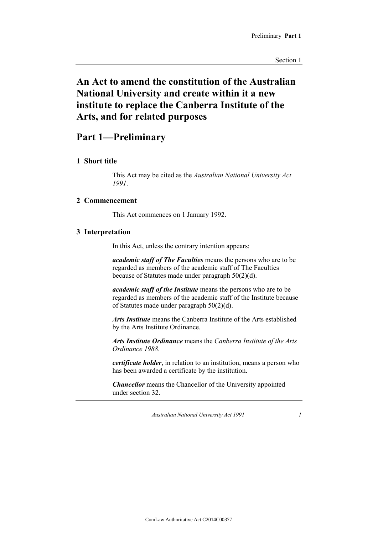## **An Act to amend the constitution of the Australian National University and create within it a new institute to replace the Canberra Institute of the Arts, and for related purposes**

## **Part 1—Preliminary**

### **1 Short title**

This Act may be cited as the *Australian National University Act 1991*.

## **2 Commencement**

This Act commences on 1 January 1992.

### **3 Interpretation**

In this Act, unless the contrary intention appears:

*academic staff of The Faculties* means the persons who are to be regarded as members of the academic staff of The Faculties because of Statutes made under paragraph 50(2)(d).

*academic staff of the Institute* means the persons who are to be regarded as members of the academic staff of the Institute because of Statutes made under paragraph 50(2)(d).

*Arts Institute* means the Canberra Institute of the Arts established by the Arts Institute Ordinance.

*Arts Institute Ordinance* means the *Canberra Institute of the Arts Ordinance 1988*.

*certificate holder*, in relation to an institution, means a person who has been awarded a certificate by the institution.

*Chancellor* means the Chancellor of the University appointed under section 32.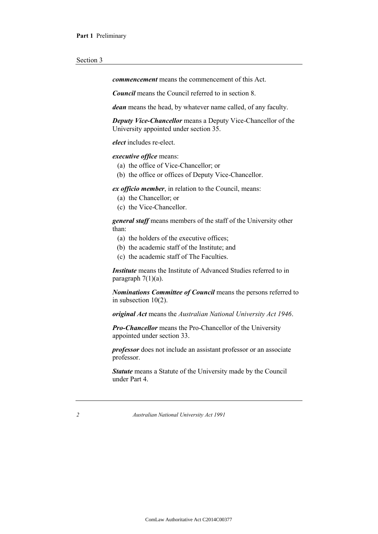*commencement* means the commencement of this Act.

*Council* means the Council referred to in section 8.

*dean* means the head, by whatever name called, of any faculty.

*Deputy Vice-Chancellor* means a Deputy Vice-Chancellor of the University appointed under section 35.

*elect* includes re-elect.

*executive office* means:

- (a) the office of Vice-Chancellor; or
- (b) the office or offices of Deputy Vice-Chancellor.

*ex officio member*, in relation to the Council, means:

- (a) the Chancellor; or
- (c) the Vice-Chancellor.

*general staff* means members of the staff of the University other than:

- (a) the holders of the executive offices;
- (b) the academic staff of the Institute; and
- (c) the academic staff of The Faculties.

*Institute* means the Institute of Advanced Studies referred to in paragraph  $7(1)(a)$ .

*Nominations Committee of Council* means the persons referred to in subsection 10(2).

*original Act* means the *Australian National University Act 1946*.

*Pro-Chancellor* means the Pro-Chancellor of the University appointed under section 33.

*professor* does not include an assistant professor or an associate professor.

*Statute* means a Statute of the University made by the Council under Part 4.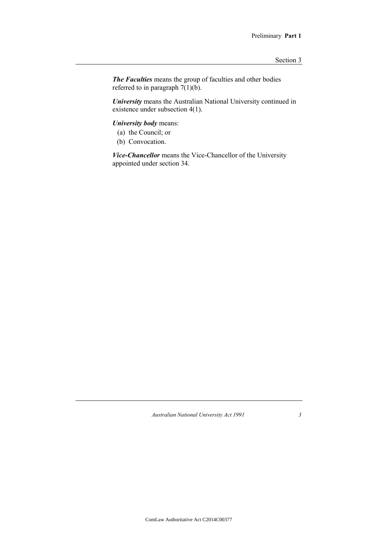*The Faculties* means the group of faculties and other bodies referred to in paragraph  $7(1)(b)$ .

*University* means the Australian National University continued in existence under subsection 4(1).

*University body* means:

- (a) the Council; or
- (b) Convocation.

*Vice-Chancellor* means the Vice-Chancellor of the University appointed under section 34.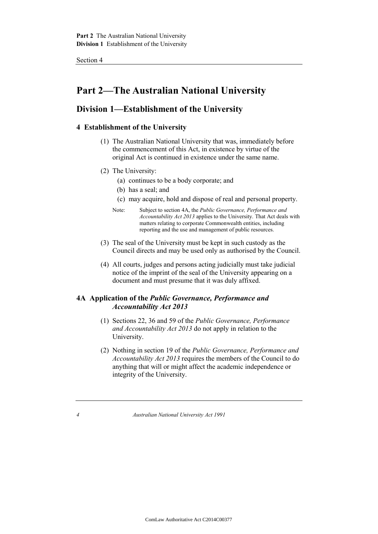## **Part 2—The Australian National University**

## **Division 1—Establishment of the University**

## **4 Establishment of the University**

- (1) The Australian National University that was, immediately before the commencement of this Act, in existence by virtue of the original Act is continued in existence under the same name.
- (2) The University:
	- (a) continues to be a body corporate; and
	- (b) has a seal; and
	- (c) may acquire, hold and dispose of real and personal property.
	- Note: Subject to section 4A, the *Public Governance, Performance and Accountability Act 2013* applies to the University. That Act deals with matters relating to corporate Commonwealth entities, including reporting and the use and management of public resources.
- (3) The seal of the University must be kept in such custody as the Council directs and may be used only as authorised by the Council.
- (4) All courts, judges and persons acting judicially must take judicial notice of the imprint of the seal of the University appearing on a document and must presume that it was duly affixed.

## **4A Application of the** *Public Governance, Performance and Accountability Act 2013*

- (1) Sections 22, 36 and 59 of the *Public Governance, Performance and Accountability Act 2013* do not apply in relation to the University.
- (2) Nothing in section 19 of the *Public Governance, Performance and Accountability Act 2013* requires the members of the Council to do anything that will or might affect the academic independence or integrity of the University.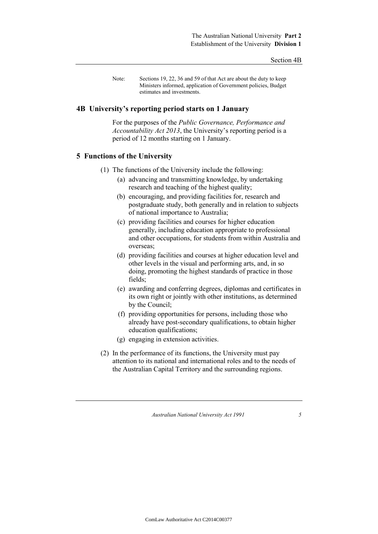Note: Sections 19, 22, 36 and 59 of that Act are about the duty to keep Ministers informed, application of Government policies, Budget estimates and investments.

### **4B University's reporting period starts on 1 January**

For the purposes of the *Public Governance, Performance and Accountability Act 2013*, the University's reporting period is a period of 12 months starting on 1 January.

## **5 Functions of the University**

- (1) The functions of the University include the following:
	- (a) advancing and transmitting knowledge, by undertaking research and teaching of the highest quality;
	- (b) encouraging, and providing facilities for, research and postgraduate study, both generally and in relation to subjects of national importance to Australia;
	- (c) providing facilities and courses for higher education generally, including education appropriate to professional and other occupations, for students from within Australia and overseas;
	- (d) providing facilities and courses at higher education level and other levels in the visual and performing arts, and, in so doing, promoting the highest standards of practice in those fields;
	- (e) awarding and conferring degrees, diplomas and certificates in its own right or jointly with other institutions, as determined by the Council;
	- (f) providing opportunities for persons, including those who already have post-secondary qualifications, to obtain higher education qualifications;
	- (g) engaging in extension activities.
- (2) In the performance of its functions, the University must pay attention to its national and international roles and to the needs of the Australian Capital Territory and the surrounding regions.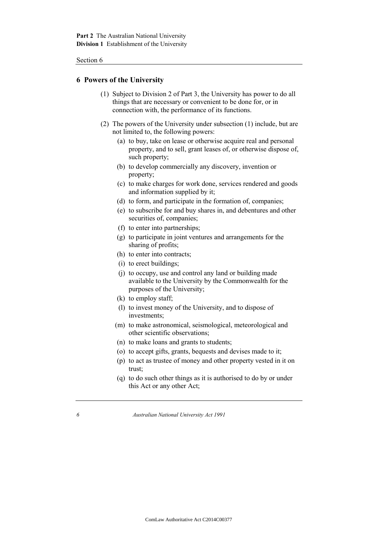### **6 Powers of the University**

- (1) Subject to Division 2 of Part 3, the University has power to do all things that are necessary or convenient to be done for, or in connection with, the performance of its functions.
- (2) The powers of the University under subsection (1) include, but are not limited to, the following powers:
	- (a) to buy, take on lease or otherwise acquire real and personal property, and to sell, grant leases of, or otherwise dispose of, such property;
	- (b) to develop commercially any discovery, invention or property;
	- (c) to make charges for work done, services rendered and goods and information supplied by it;
	- (d) to form, and participate in the formation of, companies;
	- (e) to subscribe for and buy shares in, and debentures and other securities of, companies;
	- (f) to enter into partnerships;
	- (g) to participate in joint ventures and arrangements for the sharing of profits;
	- (h) to enter into contracts;
	- (i) to erect buildings;
	- (j) to occupy, use and control any land or building made available to the University by the Commonwealth for the purposes of the University;
	- (k) to employ staff;
	- (l) to invest money of the University, and to dispose of investments;
	- (m) to make astronomical, seismological, meteorological and other scientific observations;
	- (n) to make loans and grants to students;
	- (o) to accept gifts, grants, bequests and devises made to it;
	- (p) to act as trustee of money and other property vested in it on trust;
	- (q) to do such other things as it is authorised to do by or under this Act or any other Act;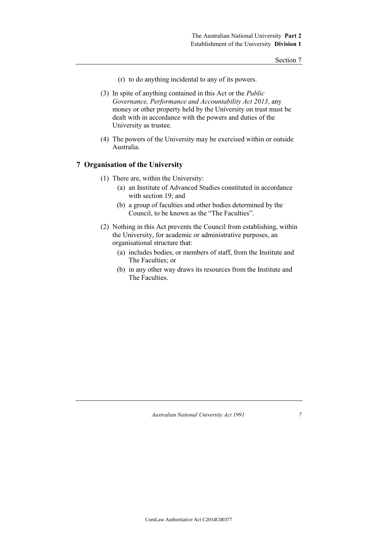- (r) to do anything incidental to any of its powers.
- (3) In spite of anything contained in this Act or the *Public Governance, Performance and Accountability Act 2013*, any money or other property held by the University on trust must be dealt with in accordance with the powers and duties of the University as trustee.
- (4) The powers of the University may be exercised within or outside Australia.

## **7 Organisation of the University**

- (1) There are, within the University:
	- (a) an Institute of Advanced Studies constituted in accordance with section 19; and
	- (b) a group of faculties and other bodies determined by the Council, to be known as the "The Faculties".
- (2) Nothing in this Act prevents the Council from establishing, within the University, for academic or administrative purposes, an organisational structure that:
	- (a) includes bodies, or members of staff, from the Institute and The Faculties; or
	- (b) in any other way draws its resources from the Institute and The Faculties.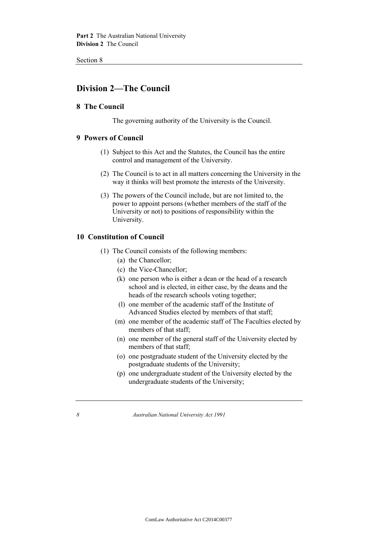## **Division 2—The Council**

### **8 The Council**

The governing authority of the University is the Council.

## **9 Powers of Council**

- (1) Subject to this Act and the Statutes, the Council has the entire control and management of the University.
- (2) The Council is to act in all matters concerning the University in the way it thinks will best promote the interests of the University.
- (3) The powers of the Council include, but are not limited to, the power to appoint persons (whether members of the staff of the University or not) to positions of responsibility within the University.

## **10 Constitution of Council**

- (1) The Council consists of the following members:
	- (a) the Chancellor;
	- (c) the Vice-Chancellor;
	- (k) one person who is either a dean or the head of a research school and is elected, in either case, by the deans and the heads of the research schools voting together;
	- (l) one member of the academic staff of the Institute of Advanced Studies elected by members of that staff;
	- (m) one member of the academic staff of The Faculties elected by members of that staff;
	- (n) one member of the general staff of the University elected by members of that staff;
	- (o) one postgraduate student of the University elected by the postgraduate students of the University;
	- (p) one undergraduate student of the University elected by the undergraduate students of the University;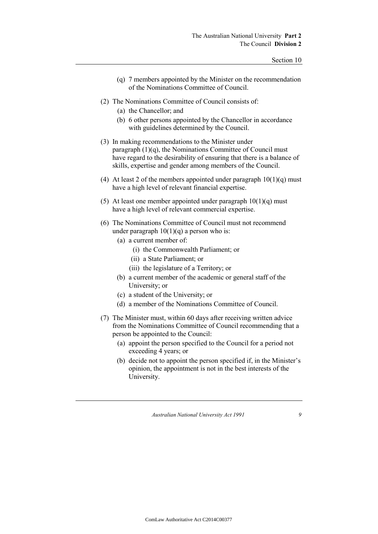- (q) 7 members appointed by the Minister on the recommendation of the Nominations Committee of Council.
- (2) The Nominations Committee of Council consists of:
	- (a) the Chancellor; and
	- (b) 6 other persons appointed by the Chancellor in accordance with guidelines determined by the Council.
- (3) In making recommendations to the Minister under paragraph  $(1)(q)$ , the Nominations Committee of Council must have regard to the desirability of ensuring that there is a balance of skills, expertise and gender among members of the Council.
- (4) At least 2 of the members appointed under paragraph  $10(1)(q)$  must have a high level of relevant financial expertise.
- (5) At least one member appointed under paragraph  $10(1)(q)$  must have a high level of relevant commercial expertise.
- (6) The Nominations Committee of Council must not recommend under paragraph  $10(1)(q)$  a person who is:
	- (a) a current member of:
		- (i) the Commonwealth Parliament; or
		- (ii) a State Parliament; or
		- (iii) the legislature of a Territory; or
	- (b) a current member of the academic or general staff of the University; or
	- (c) a student of the University; or
	- (d) a member of the Nominations Committee of Council.
- (7) The Minister must, within 60 days after receiving written advice from the Nominations Committee of Council recommending that a person be appointed to the Council:
	- (a) appoint the person specified to the Council for a period not exceeding 4 years; or
	- (b) decide not to appoint the person specified if, in the Minister's opinion, the appointment is not in the best interests of the University.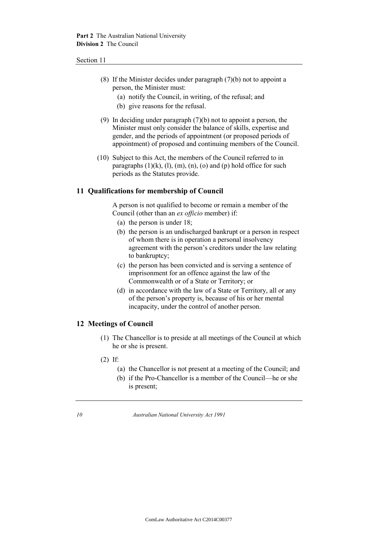- (8) If the Minister decides under paragraph (7)(b) not to appoint a person, the Minister must:
	- (a) notify the Council, in writing, of the refusal; and
	- (b) give reasons for the refusal.
- (9) In deciding under paragraph (7)(b) not to appoint a person, the Minister must only consider the balance of skills, expertise and gender, and the periods of appointment (or proposed periods of appointment) of proposed and continuing members of the Council.
- (10) Subject to this Act, the members of the Council referred to in paragraphs  $(1)(k)$ ,  $(1)$ ,  $(m)$ ,  $(n)$ ,  $(o)$  and  $(p)$  hold office for such periods as the Statutes provide.

## **11 Qualifications for membership of Council**

A person is not qualified to become or remain a member of the Council (other than an *ex officio* member) if:

- (a) the person is under 18;
- (b) the person is an undischarged bankrupt or a person in respect of whom there is in operation a personal insolvency agreement with the person's creditors under the law relating to bankruptcy;
- (c) the person has been convicted and is serving a sentence of imprisonment for an offence against the law of the Commonwealth or of a State or Territory; or
- (d) in accordance with the law of a State or Territory, all or any of the person's property is, because of his or her mental incapacity, under the control of another person.

## **12 Meetings of Council**

- (1) The Chancellor is to preside at all meetings of the Council at which he or she is present.
- (2) If:
	- (a) the Chancellor is not present at a meeting of the Council; and
	- (b) if the Pro-Chancellor is a member of the Council—he or she is present;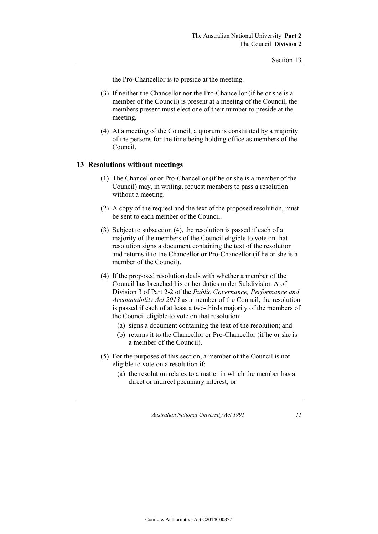the Pro-Chancellor is to preside at the meeting.

- (3) If neither the Chancellor nor the Pro-Chancellor (if he or she is a member of the Council) is present at a meeting of the Council, the members present must elect one of their number to preside at the meeting.
- (4) At a meeting of the Council, a quorum is constituted by a majority of the persons for the time being holding office as members of the Council.

## **13 Resolutions without meetings**

- (1) The Chancellor or Pro-Chancellor (if he or she is a member of the Council) may, in writing, request members to pass a resolution without a meeting.
- (2) A copy of the request and the text of the proposed resolution, must be sent to each member of the Council.
- (3) Subject to subsection (4), the resolution is passed if each of a majority of the members of the Council eligible to vote on that resolution signs a document containing the text of the resolution and returns it to the Chancellor or Pro-Chancellor (if he or she is a member of the Council).
- (4) If the proposed resolution deals with whether a member of the Council has breached his or her duties under Subdivision A of Division 3 of Part 2-2 of the *Public Governance, Performance and Accountability Act 2013* as a member of the Council, the resolution is passed if each of at least a two-thirds majority of the members of the Council eligible to vote on that resolution:
	- (a) signs a document containing the text of the resolution; and
	- (b) returns it to the Chancellor or Pro-Chancellor (if he or she is a member of the Council).
- (5) For the purposes of this section, a member of the Council is not eligible to vote on a resolution if:
	- (a) the resolution relates to a matter in which the member has a direct or indirect pecuniary interest; or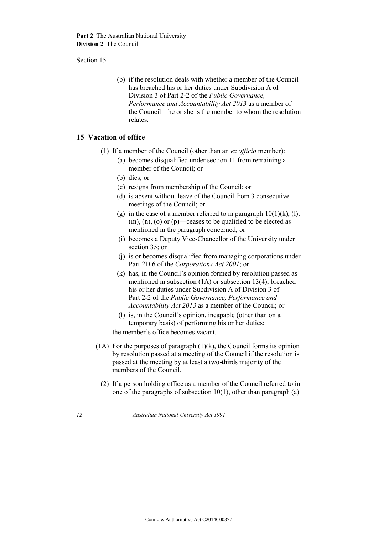(b) if the resolution deals with whether a member of the Council has breached his or her duties under Subdivision A of Division 3 of Part 2-2 of the *Public Governance, Performance and Accountability Act 2013* as a member of the Council—he or she is the member to whom the resolution relates.

## **15 Vacation of office**

- (1) If a member of the Council (other than an *ex officio* member):
	- (a) becomes disqualified under section 11 from remaining a member of the Council; or
	- (b) dies; or
	- (c) resigns from membership of the Council; or
	- (d) is absent without leave of the Council from 3 consecutive meetings of the Council; or
	- (g) in the case of a member referred to in paragraph  $10(1)(k)$ , (l),  $(m)$ ,  $(n)$ ,  $(o)$  or  $(p)$ —ceases to be qualified to be elected as mentioned in the paragraph concerned; or
	- (i) becomes a Deputy Vice-Chancellor of the University under section 35; or
	- (j) is or becomes disqualified from managing corporations under Part 2D.6 of the *Corporations Act 2001*; or
	- (k) has, in the Council's opinion formed by resolution passed as mentioned in subsection (1A) or subsection 13(4), breached his or her duties under Subdivision A of Division 3 of Part 2-2 of the *Public Governance, Performance and Accountability Act 2013* as a member of the Council; or
	- (l) is, in the Council's opinion, incapable (other than on a temporary basis) of performing his or her duties;

the member's office becomes vacant.

- (1A) For the purposes of paragraph  $(1)(k)$ , the Council forms its opinion by resolution passed at a meeting of the Council if the resolution is passed at the meeting by at least a two-thirds majority of the members of the Council.
	- (2) If a person holding office as a member of the Council referred to in one of the paragraphs of subsection  $10(1)$ , other than paragraph (a)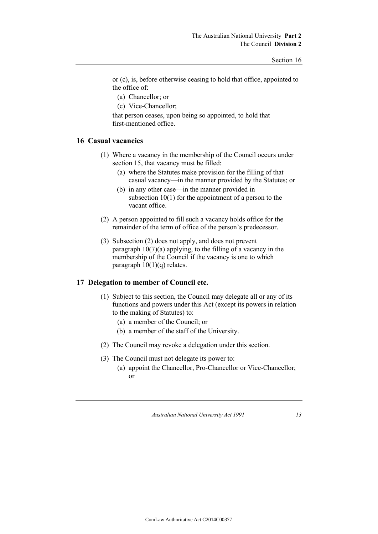or (c), is, before otherwise ceasing to hold that office, appointed to the office of:

- (a) Chancellor; or
- (c) Vice-Chancellor;

that person ceases, upon being so appointed, to hold that first-mentioned office.

### **16 Casual vacancies**

- (1) Where a vacancy in the membership of the Council occurs under section 15, that vacancy must be filled:
	- (a) where the Statutes make provision for the filling of that casual vacancy—in the manner provided by the Statutes; or
	- (b) in any other case—in the manner provided in subsection 10(1) for the appointment of a person to the vacant office.
- (2) A person appointed to fill such a vacancy holds office for the remainder of the term of office of the person's predecessor.
- (3) Subsection (2) does not apply, and does not prevent paragraph  $10(7)(a)$  applying, to the filling of a vacancy in the membership of the Council if the vacancy is one to which paragraph  $10(1)(q)$  relates.

#### **17 Delegation to member of Council etc.**

- (1) Subject to this section, the Council may delegate all or any of its functions and powers under this Act (except its powers in relation to the making of Statutes) to:
	- (a) a member of the Council; or
	- (b) a member of the staff of the University.
- (2) The Council may revoke a delegation under this section.
- (3) The Council must not delegate its power to:
	- (a) appoint the Chancellor, Pro-Chancellor or Vice-Chancellor; or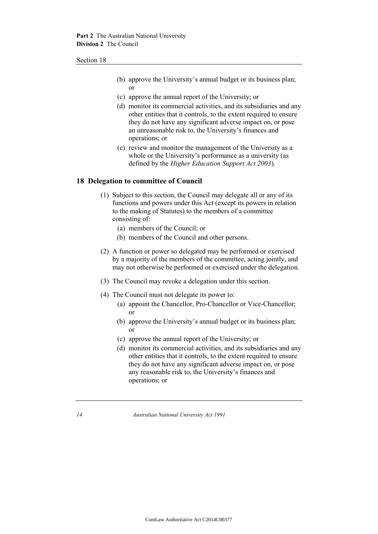- (b) approve the University's annual budget or its business plan; or
- (c) approve the annual report of the University; or
- (d) monitor its commercial activities, and its subsidiaries and any other entities that it controls, to the extent required to ensure they do not have any significant adverse impact on, or pose an unreasonable risk to, the University's finances and operations; or
- (e) review and monitor the management of the University as a whole or the University's performance as a university (as defined by the *Higher Education Support Act 2003*).

### **18 Delegation to committee of Council**

- (1) Subject to this section, the Council may delegate all or any of its functions and powers under this Act (except its powers in relation to the making of Statutes) to the members of a committee consisting of:
	- (a) members of the Council; or
	- (b) members of the Council and other persons.
- (2) A function or power so delegated may be performed or exercised by a majority of the members of the committee, acting jointly, and may not otherwise be performed or exercised under the delegation.
- (3) The Council may revoke a delegation under this section.
- (4) The Council must not delegate its power to:
	- (a) appoint the Chancellor, Pro-Chancellor or Vice-Chancellor; or
	- (b) approve the University's annual budget or its business plan; or
	- (c) approve the annual report of the University; or
	- (d) monitor its commercial activities, and its subsidiaries and any other entities that it controls, to the extent required to ensure they do not have any significant adverse impact on, or pose any reasonable risk to, the University's finances and operations; or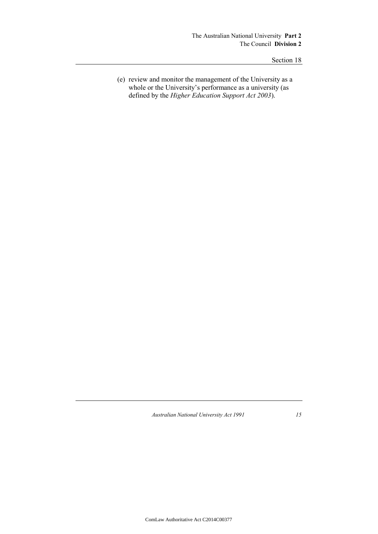(e) review and monitor the management of the University as a whole or the University's performance as a university (as defined by the *Higher Education Support Act 2003*).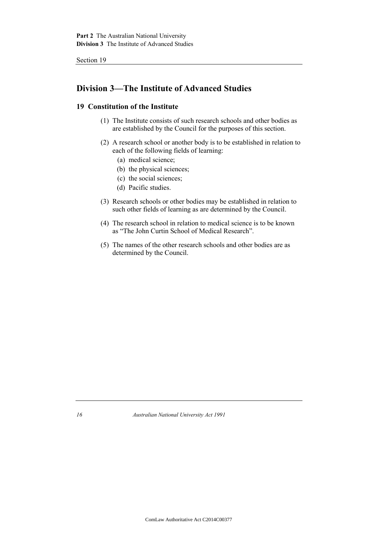## **Division 3—The Institute of Advanced Studies**

## **19 Constitution of the Institute**

- (1) The Institute consists of such research schools and other bodies as are established by the Council for the purposes of this section.
- (2) A research school or another body is to be established in relation to each of the following fields of learning:
	- (a) medical science;
	- (b) the physical sciences;
	- (c) the social sciences;
	- (d) Pacific studies.
- (3) Research schools or other bodies may be established in relation to such other fields of learning as are determined by the Council.
- (4) The research school in relation to medical science is to be known as "The John Curtin School of Medical Research".
- (5) The names of the other research schools and other bodies are as determined by the Council.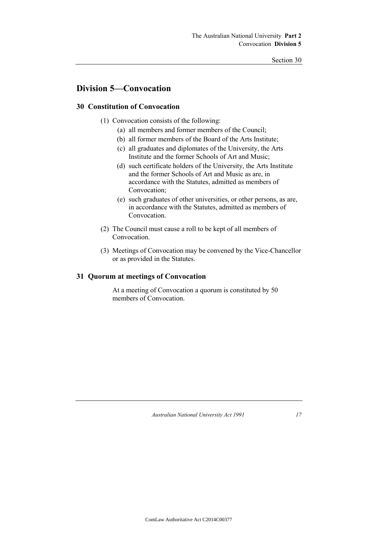## **Division 5—Convocation**

## **30 Constitution of Convocation**

- (1) Convocation consists of the following:
	- (a) all members and former members of the Council;
	- (b) all former members of the Board of the Arts Institute;
	- (c) all graduates and diplomates of the University, the Arts Institute and the former Schools of Art and Music;
	- (d) such certificate holders of the University, the Arts Institute and the former Schools of Art and Music as are, in accordance with the Statutes, admitted as members of Convocation;
	- (e) such graduates of other universities, or other persons, as are, in accordance with the Statutes, admitted as members of Convocation.
- (2) The Council must cause a roll to be kept of all members of **Convocation**
- (3) Meetings of Convocation may be convened by the Vice-Chancellor or as provided in the Statutes.

## **31 Quorum at meetings of Convocation**

At a meeting of Convocation a quorum is constituted by 50 members of Convocation.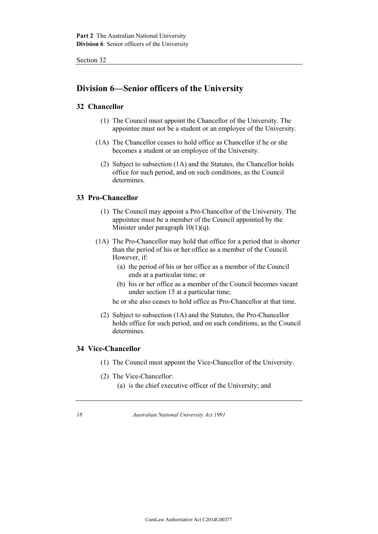## **Division 6—Senior officers of the University**

## **32 Chancellor**

- (1) The Council must appoint the Chancellor of the University. The appointee must not be a student or an employee of the University.
- (1A) The Chancellor ceases to hold office as Chancellor if he or she becomes a student or an employee of the University.
	- (2) Subject to subsection (1A) and the Statutes, the Chancellor holds office for such period, and on such conditions, as the Council determines.

## **33 Pro-Chancellor**

- (1) The Council may appoint a Pro-Chancellor of the University. The appointee must be a member of the Council appointed by the Minister under paragraph  $10(1)(q)$ .
- (1A) The Pro-Chancellor may hold that office for a period that is shorter than the period of his or her office as a member of the Council. However, if:
	- (a) the period of his or her office as a member of the Council ends at a particular time; or
	- (b) his or her office as a member of the Council becomes vacant under section 15 at a particular time;

he or she also ceases to hold office as Pro-Chancellor at that time.

(2) Subject to subsection (1A) and the Statutes, the Pro-Chancellor holds office for such period, and on such conditions, as the Council determines.

## **34 Vice-Chancellor**

- (1) The Council must appoint the Vice-Chancellor of the University.
- (2) The Vice-Chancellor:
	- (a) is the chief executive officer of the University; and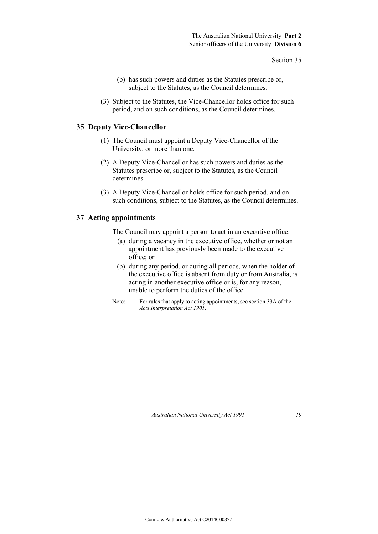- (b) has such powers and duties as the Statutes prescribe or, subject to the Statutes, as the Council determines.
- (3) Subject to the Statutes, the Vice-Chancellor holds office for such period, and on such conditions, as the Council determines.

### **35 Deputy Vice-Chancellor**

- (1) The Council must appoint a Deputy Vice-Chancellor of the University, or more than one.
- (2) A Deputy Vice-Chancellor has such powers and duties as the Statutes prescribe or, subject to the Statutes, as the Council determines.
- (3) A Deputy Vice-Chancellor holds office for such period, and on such conditions, subject to the Statutes, as the Council determines.

## **37 Acting appointments**

- The Council may appoint a person to act in an executive office:
	- (a) during a vacancy in the executive office, whether or not an appointment has previously been made to the executive office; or
	- (b) during any period, or during all periods, when the holder of the executive office is absent from duty or from Australia, is acting in another executive office or is, for any reason, unable to perform the duties of the office.
- Note: For rules that apply to acting appointments, see section 33A of the *Acts Interpretation Act 1901*.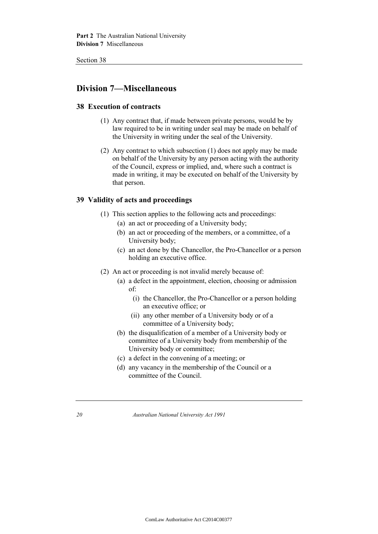## **Division 7—Miscellaneous**

## **38 Execution of contracts**

- (1) Any contract that, if made between private persons, would be by law required to be in writing under seal may be made on behalf of the University in writing under the seal of the University.
- (2) Any contract to which subsection (1) does not apply may be made on behalf of the University by any person acting with the authority of the Council, express or implied, and, where such a contract is made in writing, it may be executed on behalf of the University by that person.

## **39 Validity of acts and proceedings**

- (1) This section applies to the following acts and proceedings:
	- (a) an act or proceeding of a University body;
	- (b) an act or proceeding of the members, or a committee, of a University body;
	- (c) an act done by the Chancellor, the Pro-Chancellor or a person holding an executive office.
- (2) An act or proceeding is not invalid merely because of:
	- (a) a defect in the appointment, election, choosing or admission of:
		- (i) the Chancellor, the Pro-Chancellor or a person holding an executive office; or
		- (ii) any other member of a University body or of a committee of a University body;
	- (b) the disqualification of a member of a University body or committee of a University body from membership of the University body or committee;
	- (c) a defect in the convening of a meeting; or
	- (d) any vacancy in the membership of the Council or a committee of the Council.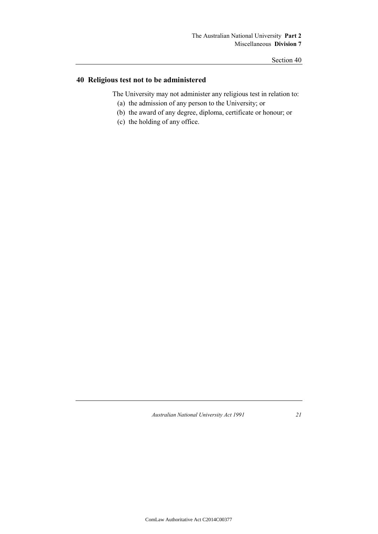## **40 Religious test not to be administered**

The University may not administer any religious test in relation to:

- (a) the admission of any person to the University; or
- (b) the award of any degree, diploma, certificate or honour; or
- (c) the holding of any office.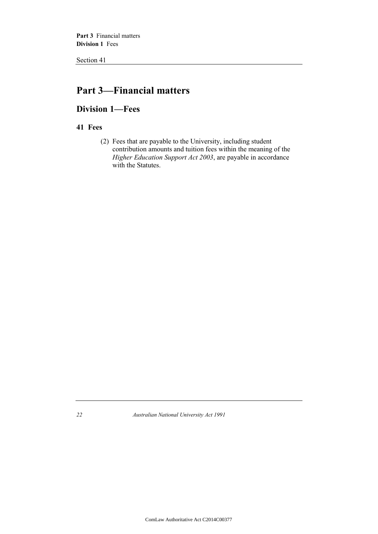## **Part 3—Financial matters**

## **Division 1—Fees**

## **41 Fees**

(2) Fees that are payable to the University, including student contribution amounts and tuition fees within the meaning of the *Higher Education Support Act 2003*, are payable in accordance with the Statutes.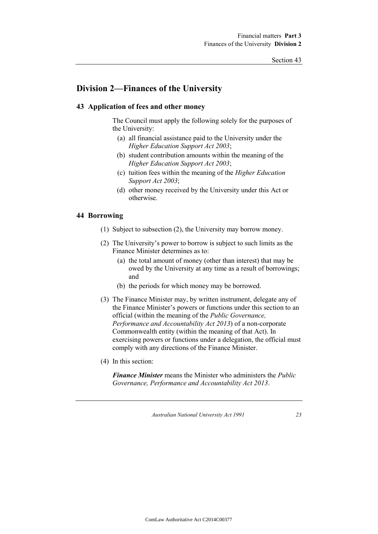## **Division 2—Finances of the University**

## **43 Application of fees and other money**

The Council must apply the following solely for the purposes of the University:

- (a) all financial assistance paid to the University under the *Higher Education Support Act 2003*;
- (b) student contribution amounts within the meaning of the *Higher Education Support Act 2003*;
- (c) tuition fees within the meaning of the *Higher Education Support Act 2003*;
- (d) other money received by the University under this Act or otherwise.

### **44 Borrowing**

- (1) Subject to subsection (2), the University may borrow money.
- (2) The University's power to borrow is subject to such limits as the Finance Minister determines as to:
	- (a) the total amount of money (other than interest) that may be owed by the University at any time as a result of borrowings; and
	- (b) the periods for which money may be borrowed.
- (3) The Finance Minister may, by written instrument, delegate any of the Finance Minister's powers or functions under this section to an official (within the meaning of the *Public Governance, Performance and Accountability Act 2013*) of a non-corporate Commonwealth entity (within the meaning of that Act). In exercising powers or functions under a delegation, the official must comply with any directions of the Finance Minister.
- (4) In this section:

*Finance Minister* means the Minister who administers the *Public Governance, Performance and Accountability Act 2013*.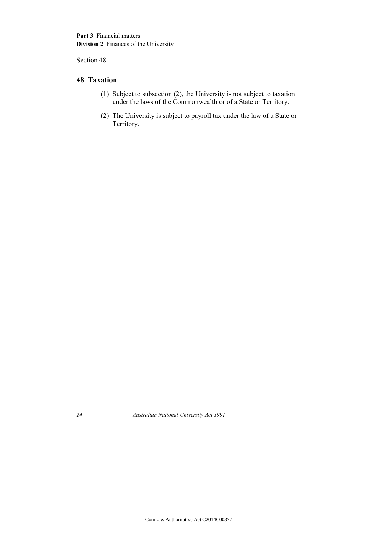## **48 Taxation**

- (1) Subject to subsection (2), the University is not subject to taxation under the laws of the Commonwealth or of a State or Territory.
- (2) The University is subject to payroll tax under the law of a State or Territory.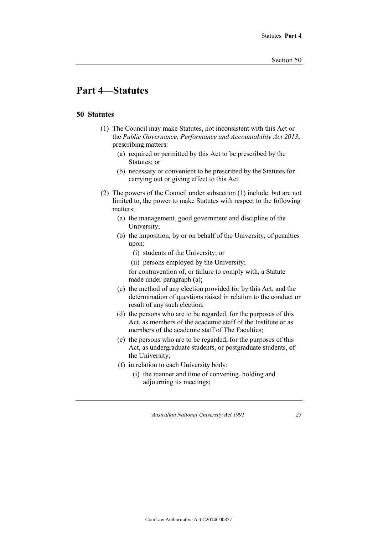## **Part 4—Statutes**

## **50 Statutes**

- (1) The Council may make Statutes, not inconsistent with this Act or the *Public Governance, Performance and Accountability Act 2013*, prescribing matters:
	- (a) required or permitted by this Act to be prescribed by the Statutes; or
	- (b) necessary or convenient to be prescribed by the Statutes for carrying out or giving effect to this Act.
- (2) The powers of the Council under subsection (1) include, but are not limited to, the power to make Statutes with respect to the following matters:
	- (a) the management, good government and discipline of the University;
	- (b) the imposition, by or on behalf of the University, of penalties upon:
		- (i) students of the University; or
		- (ii) persons employed by the University;

for contravention of, or failure to comply with, a Statute made under paragraph (a);

- (c) the method of any election provided for by this Act, and the determination of questions raised in relation to the conduct or result of any such election;
- (d) the persons who are to be regarded, for the purposes of this Act, as members of the academic staff of the Institute or as members of the academic staff of The Faculties;
- (e) the persons who are to be regarded, for the purposes of this Act, as undergraduate students, or postgraduate students, of the University;
- (f) in relation to each University body:
	- (i) the manner and time of convening, holding and adjourning its meetings;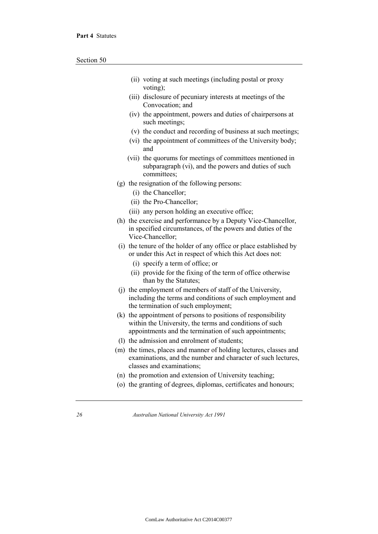- (ii) voting at such meetings (including postal or proxy voting);
- (iii) disclosure of pecuniary interests at meetings of the Convocation; and
- (iv) the appointment, powers and duties of chairpersons at such meetings;
- (v) the conduct and recording of business at such meetings;
- (vi) the appointment of committees of the University body; and
- (vii) the quorums for meetings of committees mentioned in subparagraph (vi), and the powers and duties of such committees;
- (g) the resignation of the following persons:
	- (i) the Chancellor;
	- (ii) the Pro-Chancellor;
	- (iii) any person holding an executive office;
- (h) the exercise and performance by a Deputy Vice-Chancellor, in specified circumstances, of the powers and duties of the Vice-Chancellor;
- (i) the tenure of the holder of any office or place established by or under this Act in respect of which this Act does not:
	- (i) specify a term of office; or
	- (ii) provide for the fixing of the term of office otherwise than by the Statutes;
- (j) the employment of members of staff of the University, including the terms and conditions of such employment and the termination of such employment;
- (k) the appointment of persons to positions of responsibility within the University, the terms and conditions of such appointments and the termination of such appointments;
- (l) the admission and enrolment of students;
- (m) the times, places and manner of holding lectures, classes and examinations, and the number and character of such lectures, classes and examinations;
- (n) the promotion and extension of University teaching;
- (o) the granting of degrees, diplomas, certificates and honours;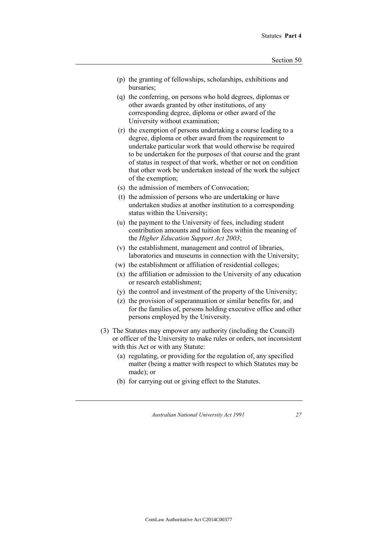- (p) the granting of fellowships, scholarships, exhibitions and bursaries;
- (q) the conferring, on persons who hold degrees, diplomas or other awards granted by other institutions, of any corresponding degree, diploma or other award of the University without examination;
- (r) the exemption of persons undertaking a course leading to a degree, diploma or other award from the requirement to undertake particular work that would otherwise be required to be undertaken for the purposes of that course and the grant of status in respect of that work, whether or not on condition that other work be undertaken instead of the work the subject of the exemption;
- (s) the admission of members of Convocation;
- (t) the admission of persons who are undertaking or have undertaken studies at another institution to a corresponding status within the University;
- (u) the payment to the University of fees, including student contribution amounts and tuition fees within the meaning of the *Higher Education Support Act 2003*;
- (v) the establishment, management and control of libraries, laboratories and museums in connection with the University;
- (w) the establishment or affiliation of residential colleges;
- (x) the affiliation or admission to the University of any education or research establishment;
- (y) the control and investment of the property of the University;
- (z) the provision of superannuation or similar benefits for, and for the families of, persons holding executive office and other persons employed by the University.
- (3) The Statutes may empower any authority (including the Council) or officer of the University to make rules or orders, not inconsistent with this Act or with any Statute:
	- (a) regulating, or providing for the regulation of, any specified matter (being a matter with respect to which Statutes may be made); or
	- (b) for carrying out or giving effect to the Statutes.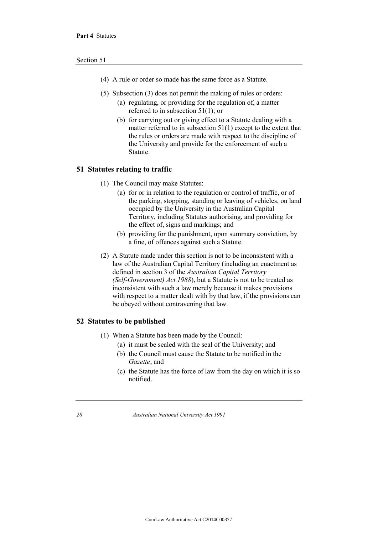- (4) A rule or order so made has the same force as a Statute.
- (5) Subsection (3) does not permit the making of rules or orders:
	- (a) regulating, or providing for the regulation of, a matter referred to in subsection 51(1); or
	- (b) for carrying out or giving effect to a Statute dealing with a matter referred to in subsection 51(1) except to the extent that the rules or orders are made with respect to the discipline of the University and provide for the enforcement of such a Statute.

#### **51 Statutes relating to traffic**

- (1) The Council may make Statutes:
	- (a) for or in relation to the regulation or control of traffic, or of the parking, stopping, standing or leaving of vehicles, on land occupied by the University in the Australian Capital Territory, including Statutes authorising, and providing for the effect of, signs and markings; and
	- (b) providing for the punishment, upon summary conviction, by a fine, of offences against such a Statute.
- (2) A Statute made under this section is not to be inconsistent with a law of the Australian Capital Territory (including an enactment as defined in section 3 of the *Australian Capital Territory (Self-Government) Act 1988*), but a Statute is not to be treated as inconsistent with such a law merely because it makes provisions with respect to a matter dealt with by that law, if the provisions can be obeyed without contravening that law.

#### **52 Statutes to be published**

- (1) When a Statute has been made by the Council:
	- (a) it must be sealed with the seal of the University; and
	- (b) the Council must cause the Statute to be notified in the *Gazette*; and
	- (c) the Statute has the force of law from the day on which it is so notified.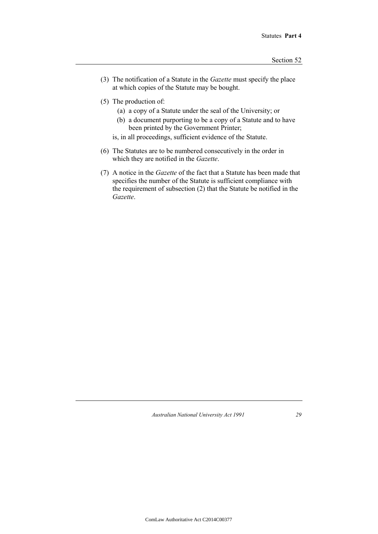- (3) The notification of a Statute in the *Gazette* must specify the place at which copies of the Statute may be bought.
- (5) The production of:
	- (a) a copy of a Statute under the seal of the University; or
	- (b) a document purporting to be a copy of a Statute and to have been printed by the Government Printer;
	- is, in all proceedings, sufficient evidence of the Statute.
- (6) The Statutes are to be numbered consecutively in the order in which they are notified in the *Gazette*.
- (7) A notice in the *Gazette* of the fact that a Statute has been made that specifies the number of the Statute is sufficient compliance with the requirement of subsection (2) that the Statute be notified in the *Gazette*.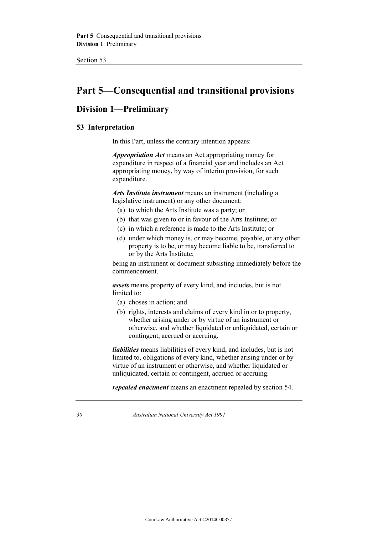## **Part 5—Consequential and transitional provisions**

## **Division 1—Preliminary**

## **53 Interpretation**

In this Part, unless the contrary intention appears:

*Appropriation Act* means an Act appropriating money for expenditure in respect of a financial year and includes an Act appropriating money, by way of interim provision, for such expenditure.

*Arts Institute instrument* means an instrument (including a legislative instrument) or any other document:

- (a) to which the Arts Institute was a party; or
- (b) that was given to or in favour of the Arts Institute; or
- (c) in which a reference is made to the Arts Institute; or
- (d) under which money is, or may become, payable, or any other property is to be, or may become liable to be, transferred to or by the Arts Institute;

being an instrument or document subsisting immediately before the commencement.

*assets* means property of every kind, and includes, but is not limited to:

- (a) choses in action; and
- (b) rights, interests and claims of every kind in or to property, whether arising under or by virtue of an instrument or otherwise, and whether liquidated or unliquidated, certain or contingent, accrued or accruing.

*liabilities* means liabilities of every kind, and includes, but is not limited to, obligations of every kind, whether arising under or by virtue of an instrument or otherwise, and whether liquidated or unliquidated, certain or contingent, accrued or accruing.

*repealed enactment* means an enactment repealed by section 54.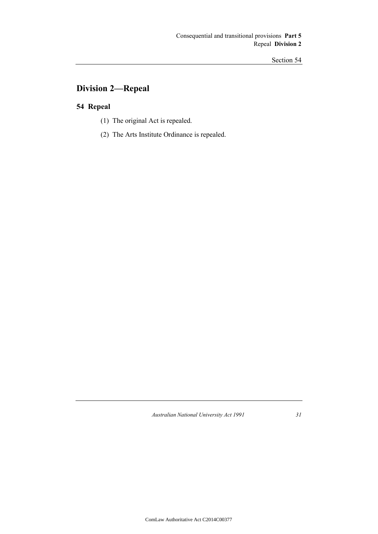## **Division 2—Repeal**

## **54 Repeal**

- (1) The original Act is repealed.
- (2) The Arts Institute Ordinance is repealed.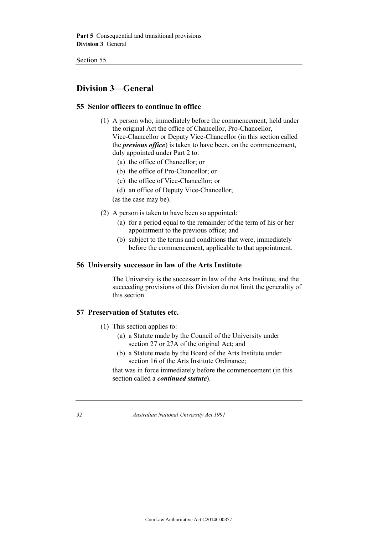## **Division 3—General**

## **55 Senior officers to continue in office**

- (1) A person who, immediately before the commencement, held under the original Act the office of Chancellor, Pro-Chancellor, Vice-Chancellor or Deputy Vice-Chancellor (in this section called the *previous office*) is taken to have been, on the commencement, duly appointed under Part 2 to:
	- (a) the office of Chancellor; or
	- (b) the office of Pro-Chancellor; or
	- (c) the office of Vice-Chancellor; or
	- (d) an office of Deputy Vice-Chancellor;

(as the case may be).

- (2) A person is taken to have been so appointed:
	- (a) for a period equal to the remainder of the term of his or her appointment to the previous office; and
	- (b) subject to the terms and conditions that were, immediately before the commencement, applicable to that appointment.

## **56 University successor in law of the Arts Institute**

The University is the successor in law of the Arts Institute, and the succeeding provisions of this Division do not limit the generality of this section.

## **57 Preservation of Statutes etc.**

- (1) This section applies to:
	- (a) a Statute made by the Council of the University under section 27 or 27A of the original Act; and
	- (b) a Statute made by the Board of the Arts Institute under section 16 of the Arts Institute Ordinance;

that was in force immediately before the commencement (in this section called a *continued statute*).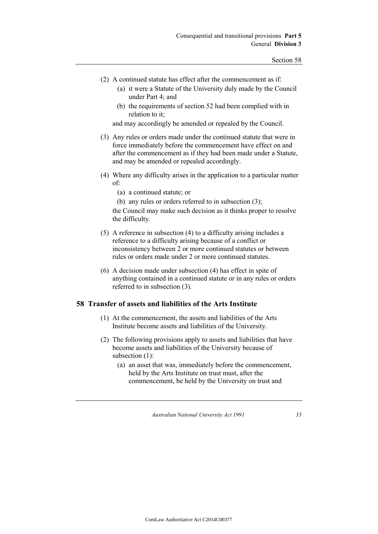- (2) A continued statute has effect after the commencement as if:
	- (a) it were a Statute of the University duly made by the Council under Part 4; and
	- (b) the requirements of section 52 had been complied with in relation to it;

and may accordingly be amended or repealed by the Council.

- (3) Any rules or orders made under the continued statute that were in force immediately before the commencement have effect on and after the commencement as if they had been made under a Statute, and may be amended or repealed accordingly.
- (4) Where any difficulty arises in the application to a particular matter of:
	- (a) a continued statute; or
	- (b) any rules or orders referred to in subsection (3);

the Council may make such decision as it thinks proper to resolve the difficulty.

- (5) A reference in subsection (4) to a difficulty arising includes a reference to a difficulty arising because of a conflict or inconsistency between 2 or more continued statutes or between rules or orders made under 2 or more continued statutes.
- (6) A decision made under subsection (4) has effect in spite of anything contained in a continued statute or in any rules or orders referred to in subsection (3).

## **58 Transfer of assets and liabilities of the Arts Institute**

- (1) At the commencement, the assets and liabilities of the Arts Institute become assets and liabilities of the University.
- (2) The following provisions apply to assets and liabilities that have become assets and liabilities of the University because of subsection (1):
	- (a) an asset that was, immediately before the commencement, held by the Arts Institute on trust must, after the commencement, be held by the University on trust and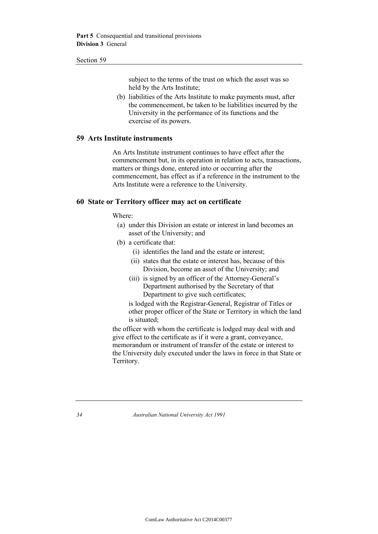subject to the terms of the trust on which the asset was so held by the Arts Institute;

(b) liabilities of the Arts Institute to make payments must, after the commencement, be taken to be liabilities incurred by the University in the performance of its functions and the exercise of its powers.

### **59 Arts Institute instruments**

An Arts Institute instrument continues to have effect after the commencement but, in its operation in relation to acts, transactions, matters or things done, entered into or occurring after the commencement, has effect as if a reference in the instrument to the Arts Institute were a reference to the University.

### **60 State or Territory officer may act on certificate**

Where:

- (a) under this Division an estate or interest in land becomes an asset of the University; and
- (b) a certificate that:
	- (i) identifies the land and the estate or interest;
	- (ii) states that the estate or interest has, because of this Division, become an asset of the University; and
	- (iii) is signed by an officer of the Attorney-General's Department authorised by the Secretary of that Department to give such certificates;

is lodged with the Registrar-General, Registrar of Titles or other proper officer of the State or Territory in which the land is situated;

the officer with whom the certificate is lodged may deal with and give effect to the certificate as if it were a grant, conveyance, memorandum or instrument of transfer of the estate or interest to the University duly executed under the laws in force in that State or Territory.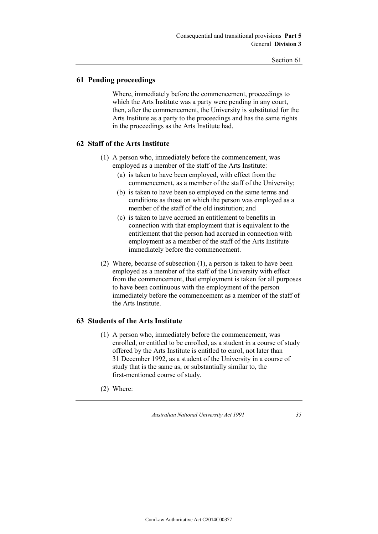## **61 Pending proceedings**

Where, immediately before the commencement, proceedings to which the Arts Institute was a party were pending in any court, then, after the commencement, the University is substituted for the Arts Institute as a party to the proceedings and has the same rights in the proceedings as the Arts Institute had.

## **62 Staff of the Arts Institute**

- (1) A person who, immediately before the commencement, was employed as a member of the staff of the Arts Institute:
	- (a) is taken to have been employed, with effect from the commencement, as a member of the staff of the University;
	- (b) is taken to have been so employed on the same terms and conditions as those on which the person was employed as a member of the staff of the old institution; and
	- (c) is taken to have accrued an entitlement to benefits in connection with that employment that is equivalent to the entitlement that the person had accrued in connection with employment as a member of the staff of the Arts Institute immediately before the commencement.
- (2) Where, because of subsection (1), a person is taken to have been employed as a member of the staff of the University with effect from the commencement, that employment is taken for all purposes to have been continuous with the employment of the person immediately before the commencement as a member of the staff of the Arts Institute.

## **63 Students of the Arts Institute**

- (1) A person who, immediately before the commencement, was enrolled, or entitled to be enrolled, as a student in a course of study offered by the Arts Institute is entitled to enrol, not later than 31 December 1992, as a student of the University in a course of study that is the same as, or substantially similar to, the first-mentioned course of study.
- (2) Where: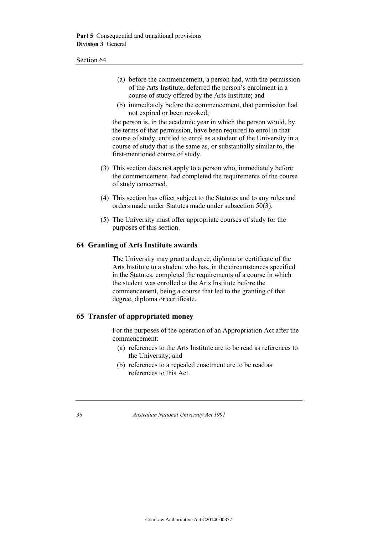- (a) before the commencement, a person had, with the permission of the Arts Institute, deferred the person's enrolment in a course of study offered by the Arts Institute; and
- (b) immediately before the commencement, that permission had not expired or been revoked;

the person is, in the academic year in which the person would, by the terms of that permission, have been required to enrol in that course of study, entitled to enrol as a student of the University in a course of study that is the same as, or substantially similar to, the first-mentioned course of study.

- (3) This section does not apply to a person who, immediately before the commencement, had completed the requirements of the course of study concerned.
- (4) This section has effect subject to the Statutes and to any rules and orders made under Statutes made under subsection 50(3).
- (5) The University must offer appropriate courses of study for the purposes of this section.

### **64 Granting of Arts Institute awards**

The University may grant a degree, diploma or certificate of the Arts Institute to a student who has, in the circumstances specified in the Statutes, completed the requirements of a course in which the student was enrolled at the Arts Institute before the commencement, being a course that led to the granting of that degree, diploma or certificate.

## **65 Transfer of appropriated money**

For the purposes of the operation of an Appropriation Act after the commencement:

- (a) references to the Arts Institute are to be read as references to the University; and
- (b) references to a repealed enactment are to be read as references to this Act.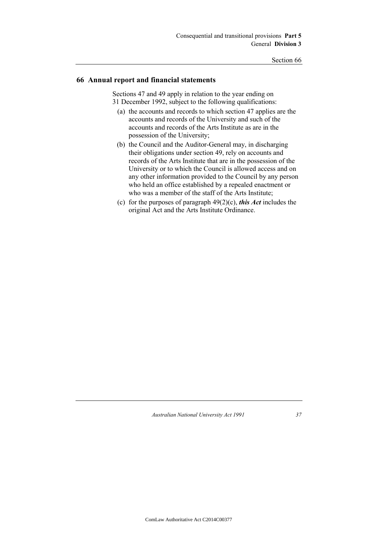## **66 Annual report and financial statements**

Sections 47 and 49 apply in relation to the year ending on 31 December 1992, subject to the following qualifications:

- (a) the accounts and records to which section 47 applies are the accounts and records of the University and such of the accounts and records of the Arts Institute as are in the possession of the University;
- (b) the Council and the Auditor-General may, in discharging their obligations under section 49, rely on accounts and records of the Arts Institute that are in the possession of the University or to which the Council is allowed access and on any other information provided to the Council by any person who held an office established by a repealed enactment or who was a member of the staff of the Arts Institute;
- (c) for the purposes of paragraph 49(2)(c), *this Act* includes the original Act and the Arts Institute Ordinance.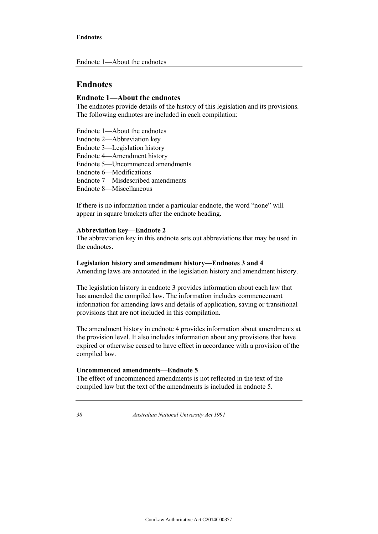#### **Endnote 1—About the endnotes**

The endnotes provide details of the history of this legislation and its provisions. The following endnotes are included in each compilation:

Endnote 1—About the endnotes

Endnote 2—Abbreviation key

Endnote 3—Legislation history

Endnote 4—Amendment history

Endnote 5—Uncommenced amendments

Endnote 6—Modifications

Endnote 7—Misdescribed amendments

Endnote 8—Miscellaneous

If there is no information under a particular endnote, the word "none" will appear in square brackets after the endnote heading.

#### **Abbreviation key—Endnote 2**

The abbreviation key in this endnote sets out abbreviations that may be used in the endnotes.

#### **Legislation history and amendment history—Endnotes 3 and 4**

Amending laws are annotated in the legislation history and amendment history.

The legislation history in endnote 3 provides information about each law that has amended the compiled law. The information includes commencement information for amending laws and details of application, saving or transitional provisions that are not included in this compilation.

The amendment history in endnote 4 provides information about amendments at the provision level. It also includes information about any provisions that have expired or otherwise ceased to have effect in accordance with a provision of the compiled law.

### **Uncommenced amendments—Endnote 5**

The effect of uncommenced amendments is not reflected in the text of the compiled law but the text of the amendments is included in endnote 5.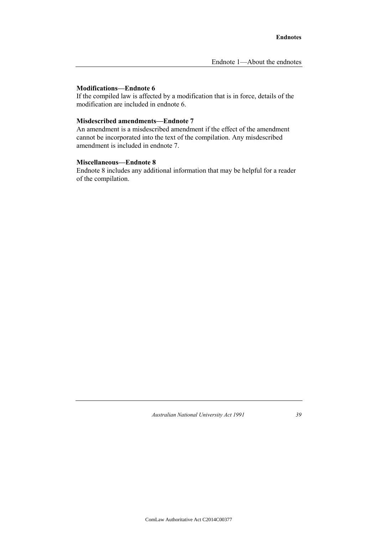#### **Modifications—Endnote 6**

If the compiled law is affected by a modification that is in force, details of the modification are included in endnote 6.

## **Misdescribed amendments—Endnote 7**

An amendment is a misdescribed amendment if the effect of the amendment cannot be incorporated into the text of the compilation. Any misdescribed amendment is included in endnote 7.

#### **Miscellaneous—Endnote 8**

Endnote 8 includes any additional information that may be helpful for a reader of the compilation.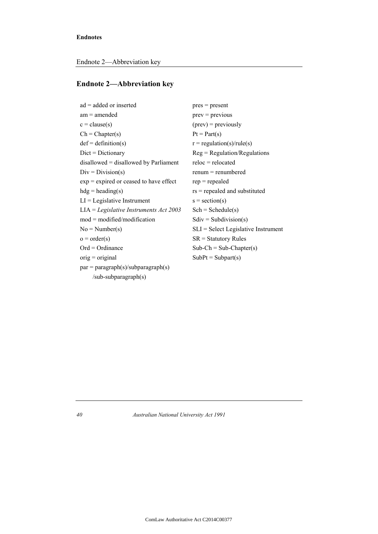## **Endnote 2—Abbreviation key**

| $ad = added or inserted$                 | $pres = present$                          |
|------------------------------------------|-------------------------------------------|
| $am = amended$                           | $prev = previous$                         |
| $c = clause(s)$                          | $(\text{prev})$ = previously              |
| $Ch = Chapter(s)$                        | $Pt = Part(s)$                            |
| $def = definition(s)$                    | $r = \text{regulation}(s)/\text{rule}(s)$ |
| $Dict = Dictionary$                      | $Reg = Regulation/Regularions$            |
| $disallowed = disallowed by Parliament$  | $reloc = relocated$                       |
| $Div = Division(s)$                      | $remum = remumbered$                      |
| $exp = expired$ or ceased to have effect | $rep = repeated$                          |
| $hdg = heading(s)$                       | $rs$ = repealed and substituted           |
| $LI =$ Legislative Instrument            | $s = section(s)$                          |
| $LIA = Legislative Instruments Act 2003$ | $Sch = Schedule(s)$                       |
| $mod = modified/modification$            | $Sdiv = Subdivision(s)$                   |
| $No = Number(s)$                         | $SLI = Select$ Legislative Instrument     |
| $o = order(s)$                           | $SR =$ Statutory Rules                    |
| $Ord = Ordinance$                        | $Sub-Ch = Sub-Chapter(s)$                 |
| $orig = original$                        | $SubPt = Subpart(s)$                      |
| $par = paragraph(s)/subparagnh(s)$       |                                           |
| $sub-subparagnh(s)$                      |                                           |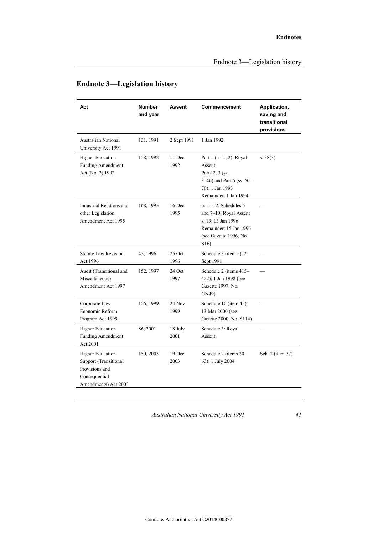| Act                                                                                                         | <b>Number</b><br>and year | <b>Assent</b>    | Commencement                                                                                                                                     | Application,<br>saving and<br>transitional<br>provisions |
|-------------------------------------------------------------------------------------------------------------|---------------------------|------------------|--------------------------------------------------------------------------------------------------------------------------------------------------|----------------------------------------------------------|
| <b>Australian National</b><br>University Act 1991                                                           | 131, 1991                 | 2 Sept 1991      | 1 Jan 1992                                                                                                                                       |                                                          |
| <b>Higher Education</b><br><b>Funding Amendment</b><br>Act (No. 2) 1992                                     | 158, 1992                 | 11 Dec<br>1992   | Part 1 (ss. 1, 2): Royal<br>Assent<br>Parts 2, 3 (ss.<br>3-46) and Part 5 (ss. $60-$<br>70): 1 Jan 1993<br>Remainder: 1 Jan 1994                 | s. $38(3)$                                               |
| Industrial Relations and<br>other Legislation<br>Amendment Act 1995                                         | 168, 1995                 | $16$ Dec<br>1995 | $ss. 1-12$ , Schedules 5<br>and 7-10: Royal Assent<br>s. 13:13 Jan 1996<br>Remainder: 15 Jan 1996<br>(see Gazette 1996, No.<br>S <sub>16</sub> ) |                                                          |
| <b>Statute Law Revision</b><br>Act 1996                                                                     | 43, 1996                  | 25 Oct<br>1996   | Schedule $3$ (item $5$ ): $2$<br>Sept 1991                                                                                                       |                                                          |
| Audit (Transitional and<br>Miscellaneous)<br>Amendment Act 1997                                             | 152, 1997                 | 24 Oct<br>1997   | Schedule 2 (items 415-<br>422): 1 Jan 1998 (see<br>Gazette 1997, No.<br>GN49)                                                                    |                                                          |
| Corporate Law<br>Economic Reform<br>Program Act 1999                                                        | 156, 1999                 | 24 Nov<br>1999   | Schedule 10 (item 45):<br>13 Mar 2000 (see<br>Gazette 2000, No. S114)                                                                            |                                                          |
| <b>Higher Education</b><br><b>Funding Amendment</b><br>Act 2001                                             | 86, 2001                  | 18 July<br>2001  | Schedule 3: Royal<br>Assent                                                                                                                      |                                                          |
| <b>Higher Education</b><br>Support (Transitional<br>Provisions and<br>Consequential<br>Amendments) Act 2003 | 150, 2003                 | 19 Dec<br>2003   | Schedule 2 (items 20-<br>63): 1 July 2004                                                                                                        | Sch. 2 (item 37)                                         |

## **Endnote 3—Legislation history**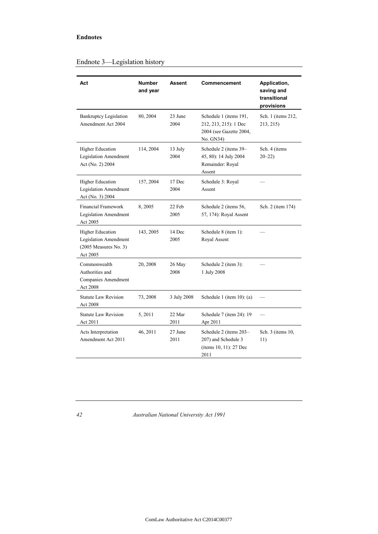| Act                                                                                     | <b>Number</b><br>and year | <b>Assent</b>   | Commencement                                                                            | Application,<br>saving and<br>transitional<br>provisions |
|-----------------------------------------------------------------------------------------|---------------------------|-----------------|-----------------------------------------------------------------------------------------|----------------------------------------------------------|
| <b>Bankruptcy Legislation</b><br>Amendment Act 2004                                     | 80, 2004                  | 23 June<br>2004 | Schedule 1 (items 191,<br>212, 213, 215): 1 Dec<br>2004 (see Gazette 2004,<br>No. GN34) | Sch. 1 (items 212,<br>213, 215)                          |
| <b>Higher Education</b><br>Legislation Amendment<br>Act (No. 2) 2004                    | 114, 2004                 | 13 July<br>2004 | Schedule 2 (items 39-<br>45, 80): 14 July 2004<br>Remainder: Royal<br>Assent            | Sch. 4 (items<br>$20 - 22$                               |
| <b>Higher Education</b><br>Legislation Amendment<br>Act (No. 3) 2004                    | 157, 2004                 | 17 Dec<br>2004  | Schedule 3: Royal<br>Assent                                                             |                                                          |
| <b>Financial Framework</b><br>Legislation Amendment<br>Act 2005                         | 8,2005                    | 22 Feb<br>2005  | Schedule 2 (items 56,<br>57, 174): Royal Assent                                         | Sch. 2 (item 174)                                        |
| <b>Higher Education</b><br>Legislation Amendment<br>$(2005$ Measures No. 3)<br>Act 2005 | 143, 2005                 | 14 Dec<br>2005  | Schedule 8 (item 1):<br>Royal Assent                                                    |                                                          |
| Commonwealth<br>Authorities and<br>Companies Amendment<br>Act 2008                      | 20, 2008                  | 26 May<br>2008  | Schedule 2 (item 3):<br>1 July 2008                                                     |                                                          |
| <b>Statute Law Revision</b><br>Act 2008                                                 | 73, 2008                  | 3 July 2008     | Schedule 1 (item 10): (a)                                                               |                                                          |
| <b>Statute Law Revision</b><br>Act 2011                                                 | 5,2011                    | 22 Mar<br>2011  | Schedule 7 (item 24): 19<br>Apr 2011                                                    |                                                          |
| Acts Interpretation<br>Amendment Act 2011                                               | 46, 2011                  | 27 June<br>2011 | Schedule 2 (items 203-<br>207) and Schedule 3<br>(items 10, 11): 27 Dec<br>2011         | Sch. 3 (items 10,<br>11)                                 |

## Endnote 3—Legislation history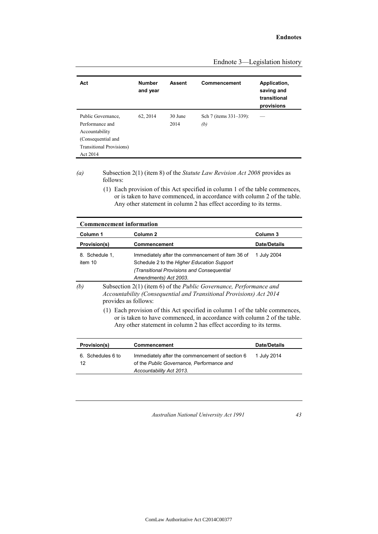| Act                                                                                                                           | <b>Number</b><br>and year | <b>Assent</b>   | Commencement                  | Application,<br>saving and<br>transitional<br>provisions |
|-------------------------------------------------------------------------------------------------------------------------------|---------------------------|-----------------|-------------------------------|----------------------------------------------------------|
| Public Governance.<br>Performance and<br>Accountability<br>(Consequential and<br><b>Transitional Provisions</b> )<br>Act 2014 | 62, 2014                  | 30 June<br>2014 | Sch 7 (items 331–339):<br>(b) |                                                          |

Endnote 3—Legislation history

*(a)* Subsection 2(1) (item 8) of the *Statute Law Revision Act 2008* provides as follows:

> (1) Each provision of this Act specified in column 1 of the table commences, or is taken to have commenced, in accordance with column 2 of the table. Any other statement in column 2 has effect according to its terms.

| <b>Commencement information</b> |                      |                                                                                                                                                                                                                                |                     |  |
|---------------------------------|----------------------|--------------------------------------------------------------------------------------------------------------------------------------------------------------------------------------------------------------------------------|---------------------|--|
| Column 1                        |                      | Column <sub>2</sub>                                                                                                                                                                                                            | Column <sub>3</sub> |  |
| <b>Provision(s)</b>             |                      | Commencement                                                                                                                                                                                                                   | <b>Date/Details</b> |  |
| 8. Schedule 1,<br>item 10       |                      | Immediately after the commencement of item 36 of<br>Schedule 2 to the Higher Education Support<br>(Transitional Provisions and Consequential<br>Amendments) Act 2003.                                                          | 1 July 2004         |  |
| (b)                             | provides as follows: | Subsection 2(1) (item 6) of the <i>Public Governance</i> , <i>Performance and</i><br>Accountability (Consequential and Transitional Provisions) Act 2014                                                                       |                     |  |
|                                 |                      | (1) Each provision of this Act specified in column 1 of the table commences,<br>or is taken to have commenced, in accordance with column 2 of the table.<br>Any other statement in column 2 has effect according to its terms. |                     |  |
| Provision(s)                    |                      | Commencement                                                                                                                                                                                                                   | <b>Date/Details</b> |  |
| 6. Schedules 6 to<br>12         |                      | Immediately after the commencement of section 6<br>of the Public Governance, Performance and<br>Accountability Act 2013.                                                                                                       | 1 July 2014         |  |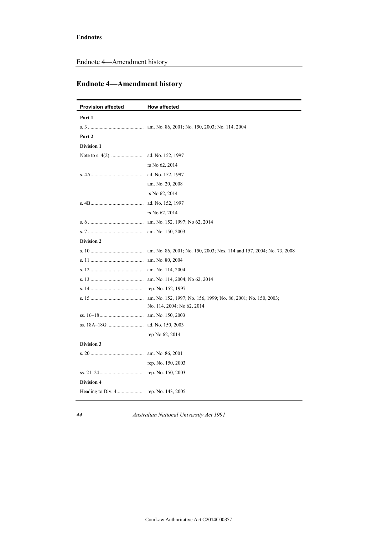Endnote 4—Amendment history

## **Endnote 4—Amendment history**

| <b>Provision affected</b> | <b>How affected</b>        |
|---------------------------|----------------------------|
| Part 1                    |                            |
|                           |                            |
| Part 2                    |                            |
| <b>Division 1</b>         |                            |
|                           |                            |
|                           | rs No 62, 2014             |
|                           |                            |
|                           | am. No. 20, 2008           |
|                           | rs No 62, 2014             |
|                           |                            |
|                           | rs No 62, 2014             |
|                           |                            |
|                           |                            |
| <b>Division 2</b>         |                            |
|                           |                            |
|                           |                            |
|                           |                            |
|                           |                            |
|                           |                            |
|                           | No. 114, 2004; No 62, 2014 |
|                           |                            |
|                           |                            |
|                           | rep No 62, 2014            |
| Division 3                |                            |
|                           |                            |
|                           | rep. No. 150, 2003         |
|                           |                            |
| <b>Division 4</b>         |                            |
|                           |                            |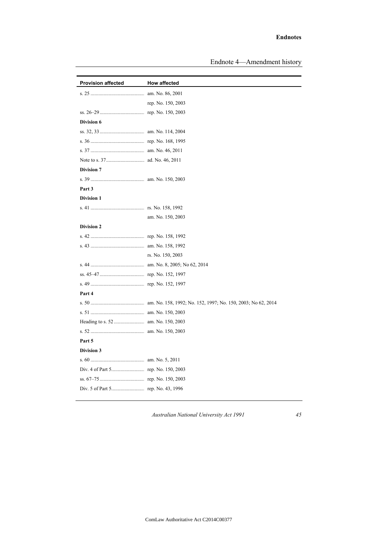Endnote 4—Amendment history

| <b>Provision affected</b> | How affected       |
|---------------------------|--------------------|
|                           |                    |
|                           | rep. No. 150, 2003 |
|                           |                    |
| Division 6                |                    |
|                           |                    |
|                           |                    |
|                           |                    |
|                           |                    |
| <b>Division 7</b>         |                    |
|                           |                    |
| Part 3                    |                    |
| <b>Division 1</b>         |                    |
|                           |                    |
|                           | am. No. 150, 2003  |
| <b>Division 2</b>         |                    |
|                           |                    |
|                           |                    |
|                           | rs. No. 150, 2003  |
|                           |                    |
|                           |                    |
|                           |                    |
| Part 4                    |                    |
|                           |                    |
|                           |                    |
|                           |                    |
|                           |                    |
| Part 5                    |                    |
| <b>Division 3</b>         |                    |
|                           |                    |
|                           |                    |
|                           |                    |
|                           |                    |
|                           |                    |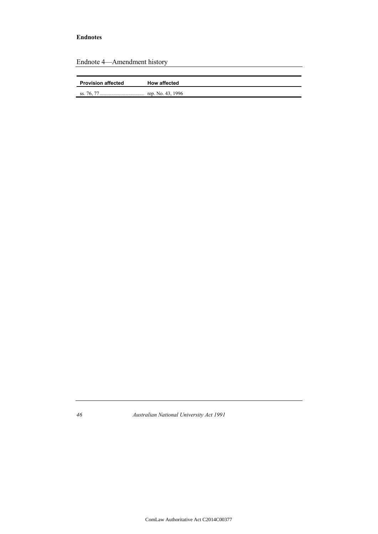| <b>Provision affected</b><br><b>How affected</b> |
|--------------------------------------------------|
|                                                  |